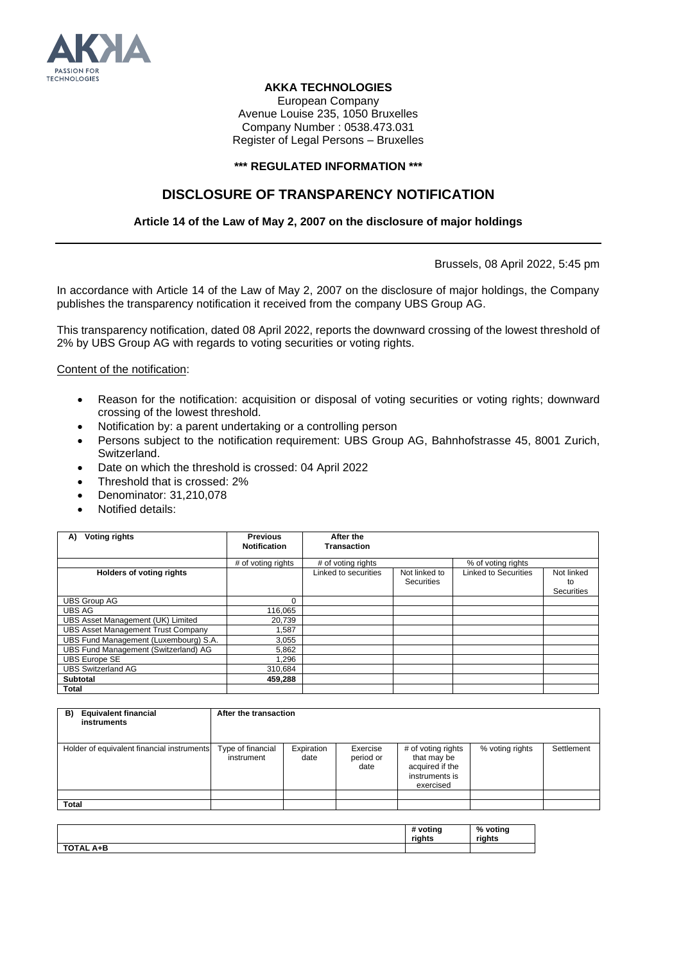

## **AKKA TECHNOLOGIES**

European Company Avenue Louise 235, 1050 Bruxelles Company Number : 0538.473.031 Register of Legal Persons – Bruxelles

### **\*\*\* REGULATED INFORMATION \*\*\***

# **DISCLOSURE OF TRANSPARENCY NOTIFICATION**

## **Article 14 of the Law of May 2, 2007 on the disclosure of major holdings**

Brussels, 08 April 2022, 5:45 pm

In accordance with Article 14 of the Law of May 2, 2007 on the disclosure of major holdings, the Company publishes the transparency notification it received from the company UBS Group AG.

This transparency notification, dated 08 April 2022, reports the downward crossing of the lowest threshold of 2% by UBS Group AG with regards to voting securities or voting rights.

Content of the notification:

- Reason for the notification: acquisition or disposal of voting securities or voting rights; downward crossing of the lowest threshold.
- Notification by: a parent undertaking or a controlling person
- Persons subject to the notification requirement: UBS Group AG, Bahnhofstrasse 45, 8001 Zurich, Switzerland.
- Date on which the threshold is crossed: 04 April 2022
- Threshold that is crossed: 2%
- Denominator: 31,210,078
- Notified details:

| <b>Voting rights</b><br>A)                | <b>Previous</b><br><b>Notification</b> | After the<br><b>Transaction</b> |                             |                             |                                |
|-------------------------------------------|----------------------------------------|---------------------------------|-----------------------------|-----------------------------|--------------------------------|
|                                           |                                        |                                 |                             |                             |                                |
|                                           | # of voting rights                     | # of voting rights              |                             | % of voting rights          |                                |
| <b>Holders of voting rights</b>           |                                        | Linked to securities            | Not linked to<br>Securities | <b>Linked to Securities</b> | Not linked<br>to<br>Securities |
| <b>UBS Group AG</b>                       | 0                                      |                                 |                             |                             |                                |
| <b>UBS AG</b>                             | 116,065                                |                                 |                             |                             |                                |
| UBS Asset Management (UK) Limited         | 20.739                                 |                                 |                             |                             |                                |
| <b>UBS Asset Management Trust Company</b> | .587                                   |                                 |                             |                             |                                |
| UBS Fund Management (Luxembourg) S.A.     | 3,055                                  |                                 |                             |                             |                                |
| UBS Fund Management (Switzerland) AG      | 5,862                                  |                                 |                             |                             |                                |
| <b>UBS Europe SE</b>                      | 1.296                                  |                                 |                             |                             |                                |
| <b>UBS Switzerland AG</b>                 | 310.684                                |                                 |                             |                             |                                |
| <b>Subtotal</b>                           | 459,288                                |                                 |                             |                             |                                |
| Total                                     |                                        |                                 |                             |                             |                                |

| <b>Equivalent financial</b><br>B)<br>instruments | After the transaction           |                    |                               |                                                                                     |                 |            |  |
|--------------------------------------------------|---------------------------------|--------------------|-------------------------------|-------------------------------------------------------------------------------------|-----------------|------------|--|
| Holder of equivalent financial instruments       | Type of financial<br>instrument | Expiration<br>date | Exercise<br>period or<br>date | # of voting rights<br>that may be<br>acquired if the<br>instruments is<br>exercised | % voting rights | Settlement |  |
|                                                  |                                 |                    |                               |                                                                                     |                 |            |  |
| <b>Total</b>                                     |                                 |                    |                               |                                                                                     |                 |            |  |

|                  | # voting<br>riahts | % voting<br>riahts |
|------------------|--------------------|--------------------|
| <b>TOTAL A+B</b> |                    |                    |